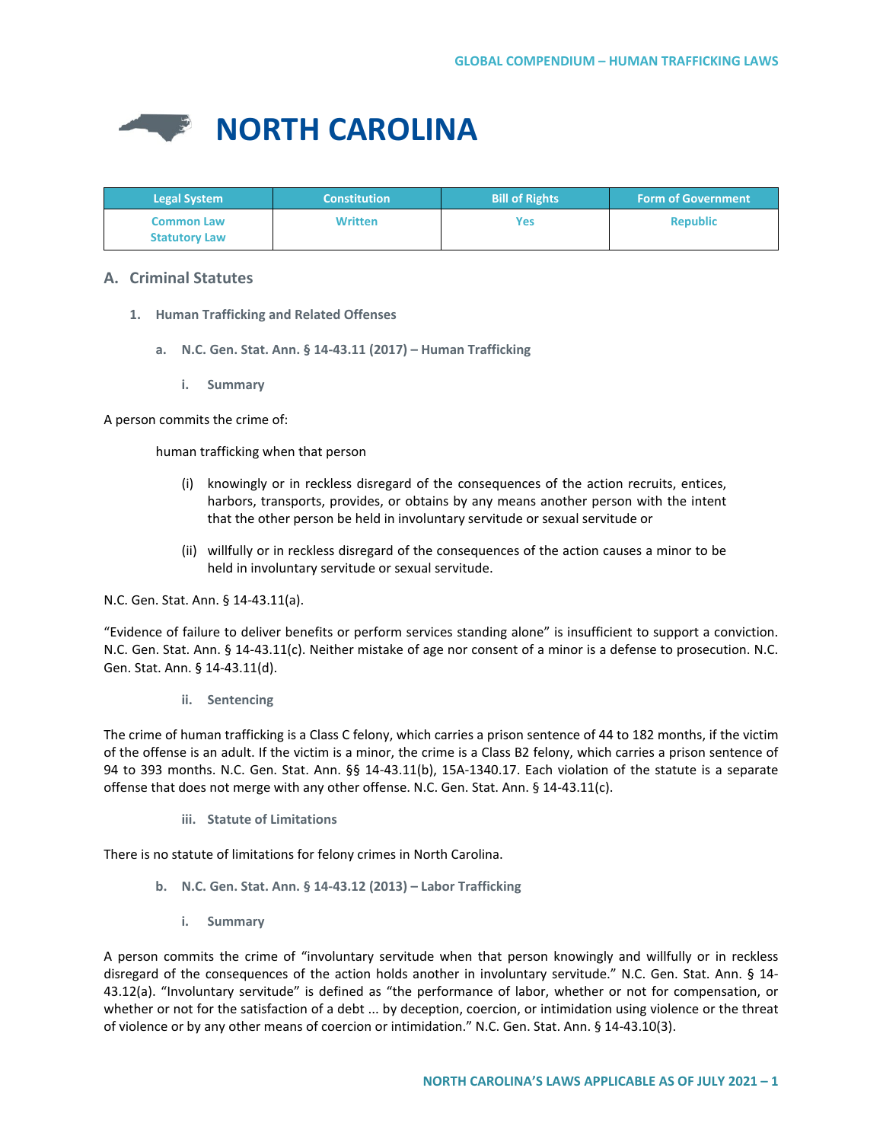

| <b>Legal System</b>                       | <b>Constitution</b> | <b>Bill of Rights</b> | <b>Form of Government</b> |
|-------------------------------------------|---------------------|-----------------------|---------------------------|
| <b>Common Law</b><br><b>Statutory Law</b> | <b>Written</b>      | Yes                   | <b>Republic</b>           |

# **A. Criminal Statutes**

- **1. Human Trafficking and Related Offenses**
	- **a. N.C. Gen. Stat. Ann. § 14-43.11 (2017) – Human Trafficking**
		- **i. Summary**

A person commits the crime of:

human trafficking when that person

- (i) knowingly or in reckless disregard of the consequences of the action recruits, entices, harbors, transports, provides, or obtains by any means another person with the intent that the other person be held in involuntary servitude or sexual servitude or
- (ii) willfully or in reckless disregard of the consequences of the action causes a minor to be held in involuntary servitude or sexual servitude.

N.C. Gen. Stat. Ann. § 14-43.11(a).

"Evidence of failure to deliver benefits or perform services standing alone" is insufficient to support a conviction. N.C. Gen. Stat. Ann. § 14-43.11(c). Neither mistake of age nor consent of a minor is a defense to prosecution. N.C. Gen. Stat. Ann. § 14-43.11(d).

**ii. Sentencing**

The crime of human trafficking is a Class C felony, which carries a prison sentence of 44 to 182 months, if the victim of the offense is an adult. If the victim is a minor, the crime is a Class B2 felony, which carries a prison sentence of 94 to 393 months. N.C. Gen. Stat. Ann. §§ 14-43.11(b), 15A-1340.17. Each violation of the statute is a separate offense that does not merge with any other offense. N.C. Gen. Stat. Ann. § 14-43.11(c).

**iii. Statute of Limitations**

There is no statute of limitations for felony crimes in North Carolina.

- **b. N.C. Gen. Stat. Ann. § 14-43.12 (2013) – Labor Trafficking** 
	- **i. Summary**

A person commits the crime of "involuntary servitude when that person knowingly and willfully or in reckless disregard of the consequences of the action holds another in involuntary servitude." N.C. Gen. Stat. Ann. § 14- 43.12(a). "Involuntary servitude" is defined as "the performance of labor, whether or not for compensation, or whether or not for the satisfaction of a debt ... by deception, coercion, or intimidation using violence or the threat of violence or by any other means of coercion or intimidation." N.C. Gen. Stat. Ann. § 14-43.10(3).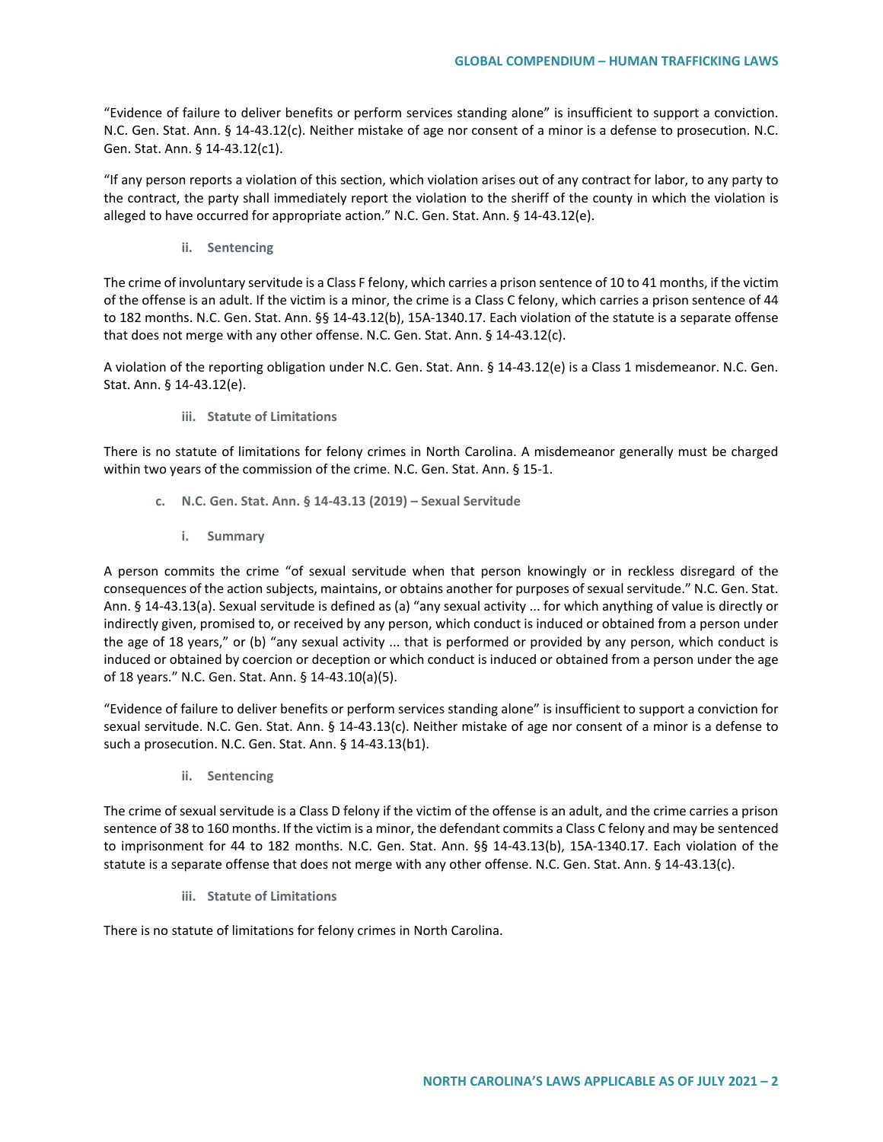"Evidence of failure to deliver benefits or perform services standing alone" is insufficient to support a conviction. N.C. Gen. Stat. Ann. § 14-43.12(c). Neither mistake of age nor consent of a minor is a defense to prosecution. N.C. Gen. Stat. Ann. § 14-43.12(c1).

"If any person reports a violation of this section, which violation arises out of any contract for labor, to any party to the contract, the party shall immediately report the violation to the sheriff of the county in which the violation is alleged to have occurred for appropriate action." N.C. Gen. Stat. Ann. § 14-43.12(e).

**ii. Sentencing**

The crime of involuntary servitude is a Class F felony, which carries a prison sentence of 10 to 41 months, if the victim of the offense is an adult. If the victim is a minor, the crime is a Class C felony, which carries a prison sentence of 44 to 182 months. N.C. Gen. Stat. Ann. §§ 14-43.12(b), 15A-1340.17. Each violation of the statute is a separate offense that does not merge with any other offense. N.C. Gen. Stat. Ann. § 14-43.12(c).

A violation of the reporting obligation under N.C. Gen. Stat. Ann. § 14-43.12(e) is a Class 1 misdemeanor. N.C. Gen. Stat. Ann. § 14-43.12(e).

### **iii. Statute of Limitations**

There is no statute of limitations for felony crimes in North Carolina. A misdemeanor generally must be charged within two years of the commission of the crime. N.C. Gen. Stat. Ann. § 15-1.

- **c. N.C. Gen. Stat. Ann. § 14-43.13 (2019) – Sexual Servitude** 
	- **i. Summary**

A person commits the crime "of sexual servitude when that person knowingly or in reckless disregard of the consequences of the action subjects, maintains, or obtains another for purposes of sexual servitude." N.C. Gen. Stat. Ann. § 14-43.13(a). Sexual servitude is defined as (a) "any sexual activity ... for which anything of value is directly or indirectly given, promised to, or received by any person, which conduct is induced or obtained from a person under the age of 18 years," or (b) "any sexual activity ... that is performed or provided by any person, which conduct is induced or obtained by coercion or deception or which conduct is induced or obtained from a person under the age of 18 years." N.C. Gen. Stat. Ann. § 14-43.10(a)(5).

"Evidence of failure to deliver benefits or perform services standing alone" is insufficient to support a conviction for sexual servitude. N.C. Gen. Stat. Ann. § 14-43.13(c). Neither mistake of age nor consent of a minor is a defense to such a prosecution. N.C. Gen. Stat. Ann. § 14-43.13(b1).

**ii. Sentencing**

The crime of sexual servitude is a Class D felony if the victim of the offense is an adult, and the crime carries a prison sentence of 38 to 160 months. If the victim is a minor, the defendant commits a Class C felony and may be sentenced to imprisonment for 44 to 182 months. N.C. Gen. Stat. Ann. §§ 14-43.13(b), 15A-1340.17. Each violation of the statute is a separate offense that does not merge with any other offense. N.C. Gen. Stat. Ann. § 14-43.13(c).

**iii. Statute of Limitations**

There is no statute of limitations for felony crimes in North Carolina.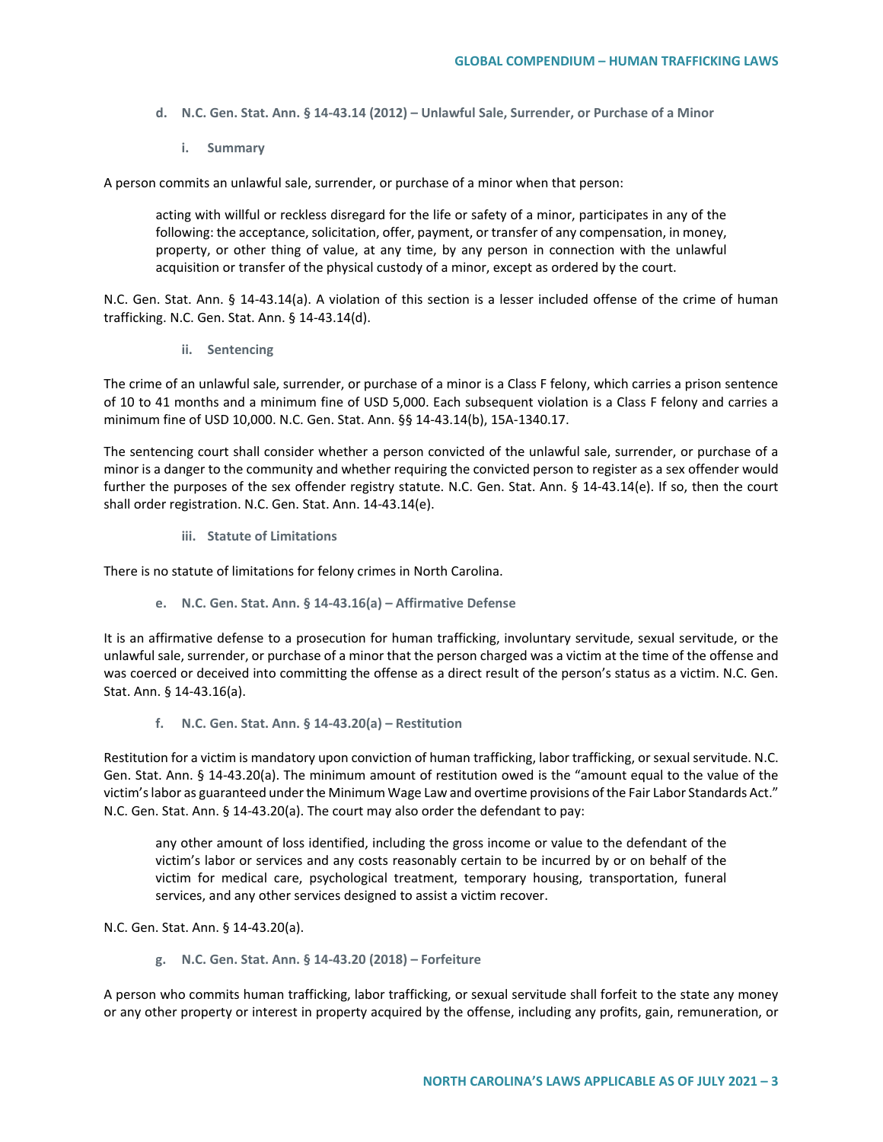- **d. N.C. Gen. Stat. Ann. § 14-43.14 (2012) – Unlawful Sale, Surrender, or Purchase of a Minor**
	- **i. Summary**

A person commits an unlawful sale, surrender, or purchase of a minor when that person:

acting with willful or reckless disregard for the life or safety of a minor, participates in any of the following: the acceptance, solicitation, offer, payment, or transfer of any compensation, in money, property, or other thing of value, at any time, by any person in connection with the unlawful acquisition or transfer of the physical custody of a minor, except as ordered by the court.

N.C. Gen. Stat. Ann. § 14-43.14(a). A violation of this section is a lesser included offense of the crime of human trafficking. N.C. Gen. Stat. Ann. § 14-43.14(d).

**ii. Sentencing**

The crime of an unlawful sale, surrender, or purchase of a minor is a Class F felony, which carries a prison sentence of 10 to 41 months and a minimum fine of USD 5,000. Each subsequent violation is a Class F felony and carries a minimum fine of USD 10,000. N.C. Gen. Stat. Ann. §§ 14-43.14(b), 15A-1340.17.

The sentencing court shall consider whether a person convicted of the unlawful sale, surrender, or purchase of a minor is a danger to the community and whether requiring the convicted person to register as a sex offender would further the purposes of the sex offender registry statute. N.C. Gen. Stat. Ann. § 14-43.14(e). If so, then the court shall order registration. N.C. Gen. Stat. Ann. 14-43.14(e).

**iii. Statute of Limitations**

There is no statute of limitations for felony crimes in North Carolina.

**e. N.C. Gen. Stat. Ann. § 14-43.16(a) – Affirmative Defense**

It is an affirmative defense to a prosecution for human trafficking, involuntary servitude, sexual servitude, or the unlawful sale, surrender, or purchase of a minor that the person charged was a victim at the time of the offense and was coerced or deceived into committing the offense as a direct result of the person's status as a victim. N.C. Gen. Stat. Ann. § 14-43.16(a).

**f. N.C. Gen. Stat. Ann. § 14-43.20(a) – Restitution**

Restitution for a victim is mandatory upon conviction of human trafficking, labor trafficking, or sexual servitude. N.C. Gen. Stat. Ann. § 14-43.20(a). The minimum amount of restitution owed is the "amount equal to the value of the victim's labor as guaranteed under the Minimum Wage Law and overtime provisions of the Fair Labor Standards Act." N.C. Gen. Stat. Ann. § 14-43.20(a). The court may also order the defendant to pay:

any other amount of loss identified, including the gross income or value to the defendant of the victim's labor or services and any costs reasonably certain to be incurred by or on behalf of the victim for medical care, psychological treatment, temporary housing, transportation, funeral services, and any other services designed to assist a victim recover.

N.C. Gen. Stat. Ann. § 14-43.20(a).

**g. N.C. Gen. Stat. Ann. § 14-43.20 (2018) – Forfeiture**

A person who commits human trafficking, labor trafficking, or sexual servitude shall forfeit to the state any money or any other property or interest in property acquired by the offense, including any profits, gain, remuneration, or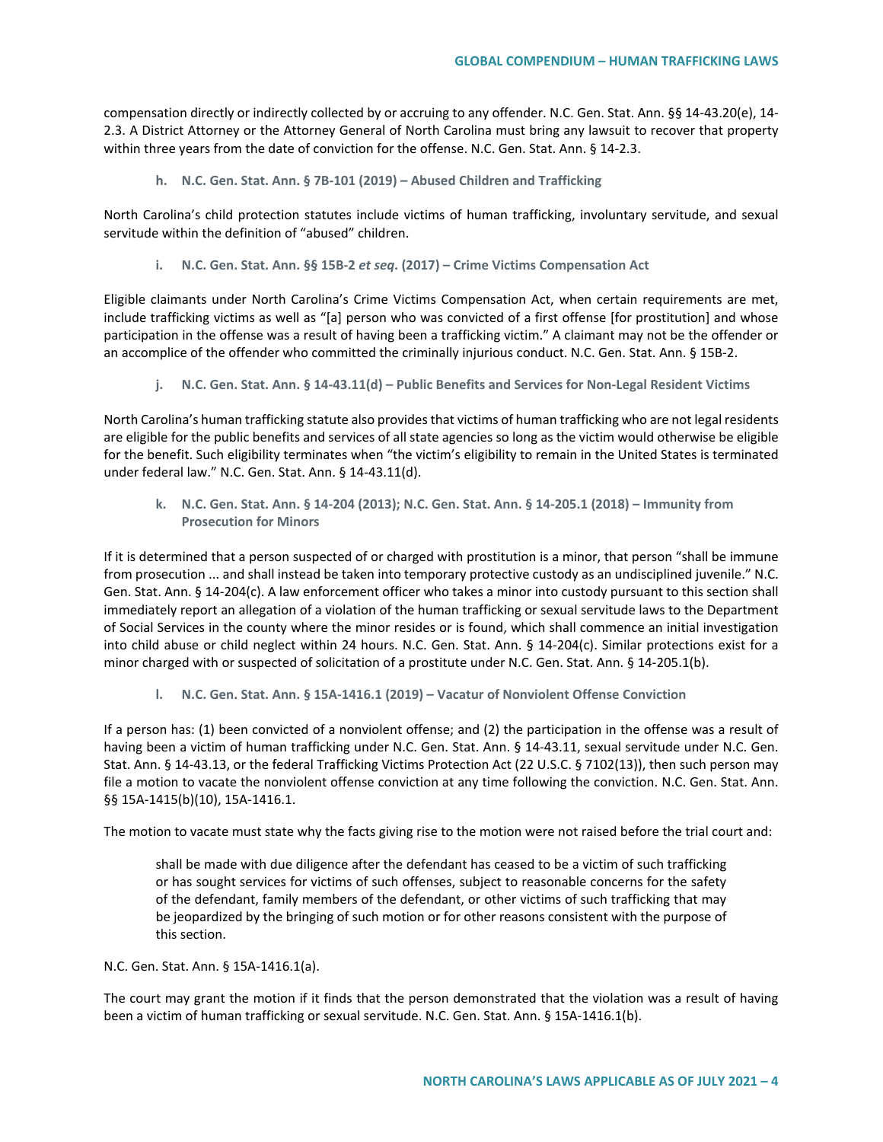compensation directly or indirectly collected by or accruing to any offender. N.C. Gen. Stat. Ann. §§ 14-43.20(e), 14- 2.3. A District Attorney or the Attorney General of North Carolina must bring any lawsuit to recover that property within three years from the date of conviction for the offense. N.C. Gen. Stat. Ann. § 14-2.3.

**h. N.C. Gen. Stat. Ann. § 7B-101 (2019) – Abused Children and Trafficking**

North Carolina's child protection statutes include victims of human trafficking, involuntary servitude, and sexual servitude within the definition of "abused" children.

**i. N.C. Gen. Stat. Ann. §§ 15B-2** *et seq***. (2017) – Crime Victims Compensation Act** 

Eligible claimants under North Carolina's Crime Victims Compensation Act, when certain requirements are met, include trafficking victims as well as "[a] person who was convicted of a first offense [for prostitution] and whose participation in the offense was a result of having been a trafficking victim." A claimant may not be the offender or an accomplice of the offender who committed the criminally injurious conduct. N.C. Gen. Stat. Ann. § 15B-2.

**j. N.C. Gen. Stat. Ann. § 14-43.11(d) – Public Benefits and Services for Non-Legal Resident Victims**

North Carolina's human trafficking statute also provides that victims of human trafficking who are not legal residents are eligible for the public benefits and services of all state agencies so long as the victim would otherwise be eligible for the benefit. Such eligibility terminates when "the victim's eligibility to remain in the United States is terminated under federal law." N.C. Gen. Stat. Ann. § 14-43.11(d).

**k. N.C. Gen. Stat. Ann. § 14-204 (2013); N.C. Gen. Stat. Ann. § 14-205.1 (2018) – Immunity from Prosecution for Minors**

If it is determined that a person suspected of or charged with prostitution is a minor, that person "shall be immune from prosecution ... and shall instead be taken into temporary protective custody as an undisciplined juvenile." N.C. Gen. Stat. Ann. § 14-204(c). A law enforcement officer who takes a minor into custody pursuant to this section shall immediately report an allegation of a violation of the human trafficking or sexual servitude laws to the Department of Social Services in the county where the minor resides or is found, which shall commence an initial investigation into child abuse or child neglect within 24 hours. N.C. Gen. Stat. Ann. § 14-204(c). Similar protections exist for a minor charged with or suspected of solicitation of a prostitute under N.C. Gen. Stat. Ann. § 14-205.1(b).

**l. N.C. Gen. Stat. Ann. § 15A-1416.1 (2019) – Vacatur of Nonviolent Offense Conviction** 

If a person has: (1) been convicted of a nonviolent offense; and (2) the participation in the offense was a result of having been a victim of human trafficking under N.C. Gen. Stat. Ann. § 14-43.11, sexual servitude under N.C. Gen. Stat. Ann. § 14-43.13, or the federal Trafficking Victims Protection Act (22 U.S.C. § 7102(13)), then such person may file a motion to vacate the nonviolent offense conviction at any time following the conviction. N.C. Gen. Stat. Ann. §§ 15A-1415(b)(10), 15A-1416.1.

The motion to vacate must state why the facts giving rise to the motion were not raised before the trial court and:

shall be made with due diligence after the defendant has ceased to be a victim of such trafficking or has sought services for victims of such offenses, subject to reasonable concerns for the safety of the defendant, family members of the defendant, or other victims of such trafficking that may be jeopardized by the bringing of such motion or for other reasons consistent with the purpose of this section.

N.C. Gen. Stat. Ann. § 15A-1416.1(a).

The court may grant the motion if it finds that the person demonstrated that the violation was a result of having been a victim of human trafficking or sexual servitude. N.C. Gen. Stat. Ann. § 15A-1416.1(b).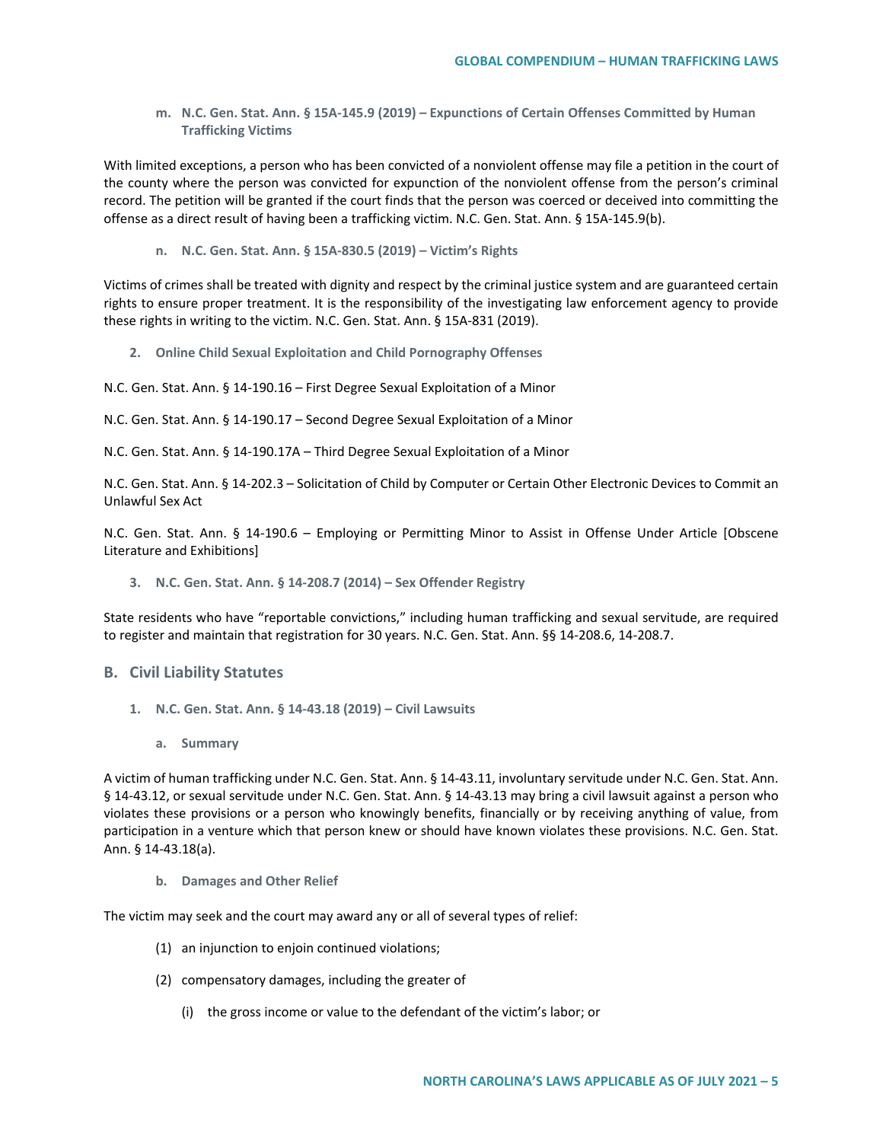**m. N.C. Gen. Stat. Ann. § 15A-145.9 (2019) – Expunctions of Certain Offenses Committed by Human Trafficking Victims**

With limited exceptions, a person who has been convicted of a nonviolent offense may file a petition in the court of the county where the person was convicted for expunction of the nonviolent offense from the person's criminal record. The petition will be granted if the court finds that the person was coerced or deceived into committing the offense as a direct result of having been a trafficking victim. N.C. Gen. Stat. Ann. § 15A-145.9(b).

**n. N.C. Gen. Stat. Ann. § 15A-830.5 (2019) – Victim's Rights**

Victims of crimes shall be treated with dignity and respect by the criminal justice system and are guaranteed certain rights to ensure proper treatment. It is the responsibility of the investigating law enforcement agency to provide these rights in writing to the victim. N.C. Gen. Stat. Ann. § 15A-831 (2019).

- **2. Online Child Sexual Exploitation and Child Pornography Offenses**
- N.C. Gen. Stat. Ann. § 14-190.16 First Degree Sexual Exploitation of a Minor

N.C. Gen. Stat. Ann. § 14-190.17 – Second Degree Sexual Exploitation of a Minor

N.C. Gen. Stat. Ann. § 14-190.17A – Third Degree Sexual Exploitation of a Minor

N.C. Gen. Stat. Ann. § 14-202.3 – Solicitation of Child by Computer or Certain Other Electronic Devices to Commit an Unlawful Sex Act

N.C. Gen. Stat. Ann. § 14-190.6 – Employing or Permitting Minor to Assist in Offense Under Article [Obscene Literature and Exhibitions]

**3. N.C. Gen. Stat. Ann. § 14-208.7 (2014) – Sex Offender Registry** 

State residents who have "reportable convictions," including human trafficking and sexual servitude, are required to register and maintain that registration for 30 years. N.C. Gen. Stat. Ann. §§ 14-208.6, 14-208.7.

## **B. Civil Liability Statutes**

- **1. N.C. Gen. Stat. Ann. § 14-43.18 (2019) – Civil Lawsuits**
	- **a. Summary**

A victim of human trafficking under N.C. Gen. Stat. Ann. § 14-43.11, involuntary servitude under N.C. Gen. Stat. Ann. § 14-43.12, or sexual servitude under N.C. Gen. Stat. Ann. § 14-43.13 may bring a civil lawsuit against a person who violates these provisions or a person who knowingly benefits, financially or by receiving anything of value, from participation in a venture which that person knew or should have known violates these provisions. N.C. Gen. Stat. Ann. § 14-43.18(a).

**b. Damages and Other Relief**

The victim may seek and the court may award any or all of several types of relief:

- (1) an injunction to enjoin continued violations;
- (2) compensatory damages, including the greater of
	- (i) the gross income or value to the defendant of the victim's labor; or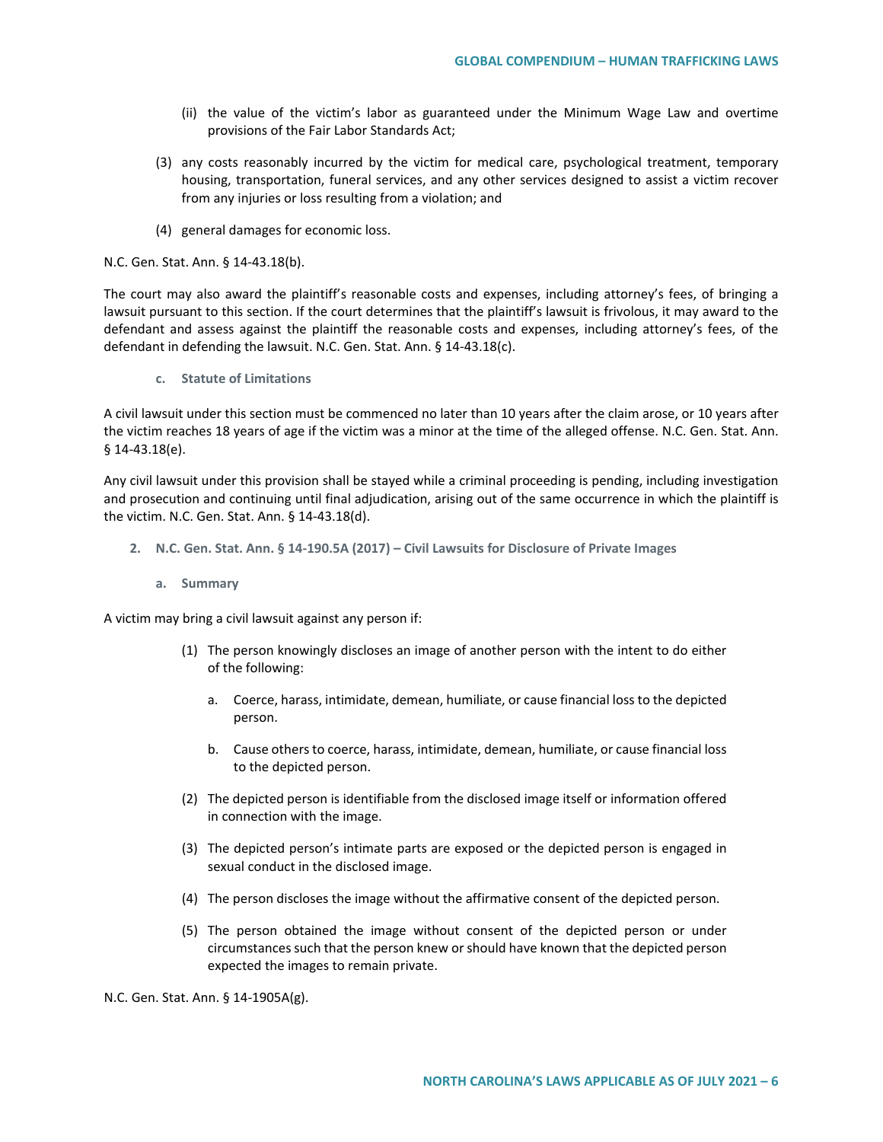- (ii) the value of the victim's labor as guaranteed under the Minimum Wage Law and overtime provisions of the Fair Labor Standards Act;
- (3) any costs reasonably incurred by the victim for medical care, psychological treatment, temporary housing, transportation, funeral services, and any other services designed to assist a victim recover from any injuries or loss resulting from a violation; and
- (4) general damages for economic loss.

N.C. Gen. Stat. Ann. § 14-43.18(b).

The court may also award the plaintiff's reasonable costs and expenses, including attorney's fees, of bringing a lawsuit pursuant to this section. If the court determines that the plaintiff's lawsuit is frivolous, it may award to the defendant and assess against the plaintiff the reasonable costs and expenses, including attorney's fees, of the defendant in defending the lawsuit. N.C. Gen. Stat. Ann. § 14-43.18(c).

**c. Statute of Limitations**

A civil lawsuit under this section must be commenced no later than 10 years after the claim arose, or 10 years after the victim reaches 18 years of age if the victim was a minor at the time of the alleged offense. N.C. Gen. Stat. Ann. § 14-43.18(e).

Any civil lawsuit under this provision shall be stayed while a criminal proceeding is pending, including investigation and prosecution and continuing until final adjudication, arising out of the same occurrence in which the plaintiff is the victim. N.C. Gen. Stat. Ann. § 14-43.18(d).

- **2. N.C. Gen. Stat. Ann. § 14-190.5A (2017) – Civil Lawsuits for Disclosure of Private Images**
	- **a. Summary**

A victim may bring a civil lawsuit against any person if:

- (1) The person knowingly discloses an image of another person with the intent to do either of the following:
	- a. Coerce, harass, intimidate, demean, humiliate, or cause financial loss to the depicted person.
	- b. Cause others to coerce, harass, intimidate, demean, humiliate, or cause financial loss to the depicted person.
- (2) The depicted person is identifiable from the disclosed image itself or information offered in connection with the image.
- (3) The depicted person's intimate parts are exposed or the depicted person is engaged in sexual conduct in the disclosed image.
- (4) The person discloses the image without the affirmative consent of the depicted person.
- (5) The person obtained the image without consent of the depicted person or under circumstances such that the person knew or should have known that the depicted person expected the images to remain private.

N.C. Gen. Stat. Ann. § 14-1905A(g).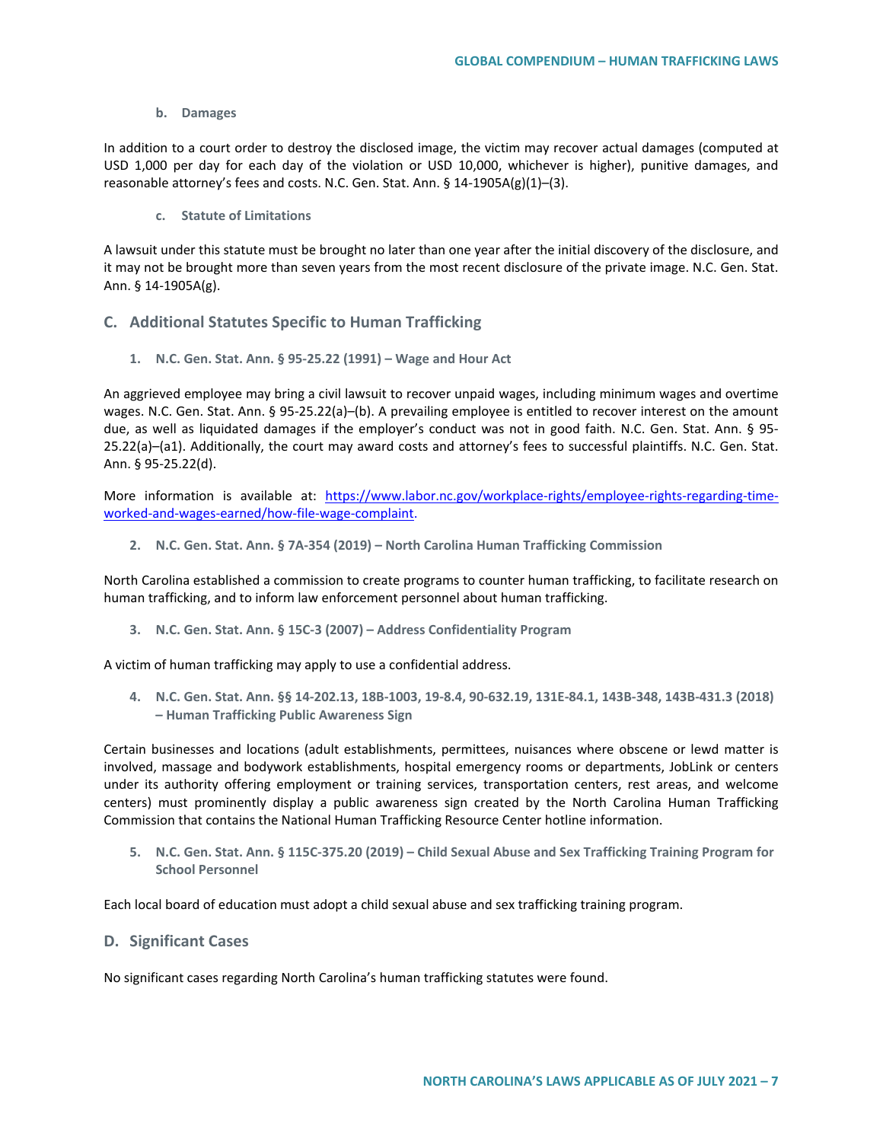#### **b. Damages**

In addition to a court order to destroy the disclosed image, the victim may recover actual damages (computed at USD 1,000 per day for each day of the violation or USD 10,000, whichever is higher), punitive damages, and reasonable attorney's fees and costs. N.C. Gen. Stat. Ann. § 14-1905A(g)(1)–(3).

**c. Statute of Limitations**

A lawsuit under this statute must be brought no later than one year after the initial discovery of the disclosure, and it may not be brought more than seven years from the most recent disclosure of the private image. N.C. Gen. Stat. Ann. § 14-1905A(g).

# **C. Additional Statutes Specific to Human Trafficking**

**1. N.C. Gen. Stat. Ann. § 95-25.22 (1991) – Wage and Hour Act**

An aggrieved employee may bring a civil lawsuit to recover unpaid wages, including minimum wages and overtime wages. N.C. Gen. Stat. Ann. § 95-25.22(a)–(b). A prevailing employee is entitled to recover interest on the amount due, as well as liquidated damages if the employer's conduct was not in good faith. N.C. Gen. Stat. Ann. § 95- 25.22(a)–(a1). Additionally, the court may award costs and attorney's fees to successful plaintiffs. N.C. Gen. Stat. Ann. § 95-25.22(d).

More information is available at: [https://www.labor.nc.gov/workplace-rights/employee-rights-regarding-time](https://www.labor.nc.gov/workplace-rights/employee-rights-regarding-time-worked-and-wages-earned/how-file-wage-complaint)[worked-and-wages-earned/how-file-wage-complaint.](https://www.labor.nc.gov/workplace-rights/employee-rights-regarding-time-worked-and-wages-earned/how-file-wage-complaint)

**2. N.C. Gen. Stat. Ann. § 7A-354 (2019) – North Carolina Human Trafficking Commission**

North Carolina established a commission to create programs to counter human trafficking, to facilitate research on human trafficking, and to inform law enforcement personnel about human trafficking.

**3. N.C. Gen. Stat. Ann. § 15C-3 (2007) – Address Confidentiality Program**

A victim of human trafficking may apply to use a confidential address.

**4. N.C. Gen. Stat. Ann. §§ 14-202.13, 18B-1003, 19-8.4, 90-632.19, 131E-84.1, 143B-348, 143B-431.3 (2018) – Human Trafficking Public Awareness Sign**

Certain businesses and locations (adult establishments, permittees, nuisances where obscene or lewd matter is involved, massage and bodywork establishments, hospital emergency rooms or departments, JobLink or centers under its authority offering employment or training services, transportation centers, rest areas, and welcome centers) must prominently display a public awareness sign created by the North Carolina Human Trafficking Commission that contains the National Human Trafficking Resource Center hotline information.

**5. N.C. Gen. Stat. Ann. § 115C-375.20 (2019) – Child Sexual Abuse and Sex Trafficking Training Program for School Personnel**

Each local board of education must adopt a child sexual abuse and sex trafficking training program.

## **D. Significant Cases**

No significant cases regarding North Carolina's human trafficking statutes were found.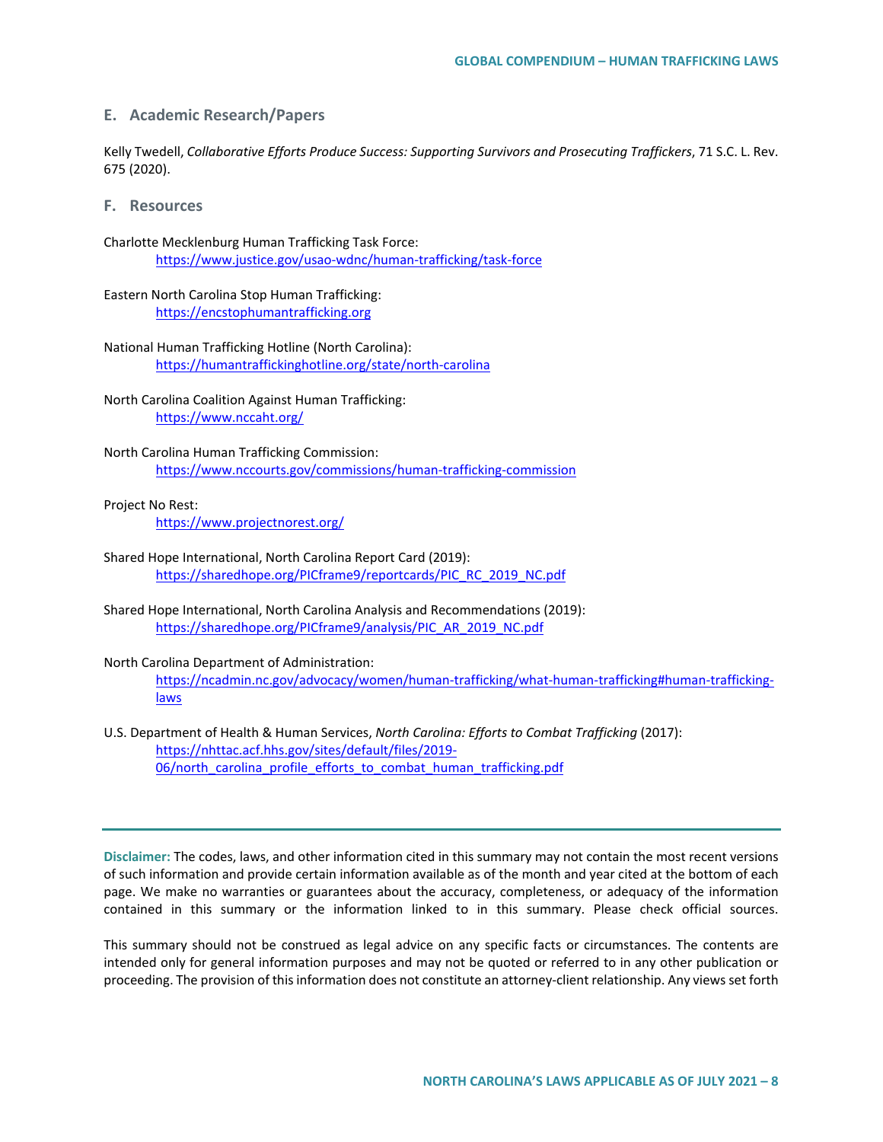# **E. Academic Research/Papers**

Kelly Twedell, *Collaborative Efforts Produce Success: Supporting Survivors and Prosecuting Traffickers*, 71 S.C. L. Rev. 675 (2020).

**F. Resources**

Charlotte Mecklenburg Human Trafficking Task Force: <https://www.justice.gov/usao-wdnc/human-trafficking/task-force>

Eastern North Carolina Stop Human Trafficking: [https://encstophumantrafficking.org](https://encstophumantrafficking.org/)

National Human Trafficking Hotline (North Carolina): <https://humantraffickinghotline.org/state/north-carolina>

North Carolina Coalition Against Human Trafficking: <https://www.nccaht.org/>

North Carolina Human Trafficking Commission: <https://www.nccourts.gov/commissions/human-trafficking-commission>

Project No Rest:

<https://www.projectnorest.org/>

- Shared Hope International, North Carolina Report Card (2019): [https://sharedhope.org/PICframe9/reportcards/PIC\\_RC\\_2019\\_NC.pdf](https://sharedhope.org/PICframe9/reportcards/PIC_RC_2019_NC.pdf)
- Shared Hope International, North Carolina Analysis and Recommendations (2019): [https://sharedhope.org/PICframe9/analysis/PIC\\_AR\\_2019\\_NC.pdf](https://sharedhope.org/PICframe9/analysis/PIC_AR_2019_NC.pdf)

North Carolina Department of Administration: [https://ncadmin.nc.gov/advocacy/women/human-trafficking/what-human-trafficking#human-trafficking](https://ncadmin.nc.gov/advocacy/women/human-trafficking/what-human-trafficking#human-trafficking-laws)[laws](https://ncadmin.nc.gov/advocacy/women/human-trafficking/what-human-trafficking#human-trafficking-laws)

U.S. Department of Health & Human Services, *North Carolina: Efforts to Combat Trafficking* (2017): [https://nhttac.acf.hhs.gov/sites/default/files/2019-](https://nhttac.acf.hhs.gov/sites/default/files/2019-06/north_carolina_profile_efforts_to_combat_human_trafficking.pdf) [06/north\\_carolina\\_profile\\_efforts\\_to\\_combat\\_human\\_trafficking.pdf](https://nhttac.acf.hhs.gov/sites/default/files/2019-06/north_carolina_profile_efforts_to_combat_human_trafficking.pdf)

**Disclaimer:** The codes, laws, and other information cited in this summary may not contain the most recent versions of such information and provide certain information available as of the month and year cited at the bottom of each page. We make no warranties or guarantees about the accuracy, completeness, or adequacy of the information contained in this summary or the information linked to in this summary. Please check official sources.

This summary should not be construed as legal advice on any specific facts or circumstances. The contents are intended only for general information purposes and may not be quoted or referred to in any other publication or proceeding. The provision of this information does not constitute an attorney-client relationship. Any views set forth